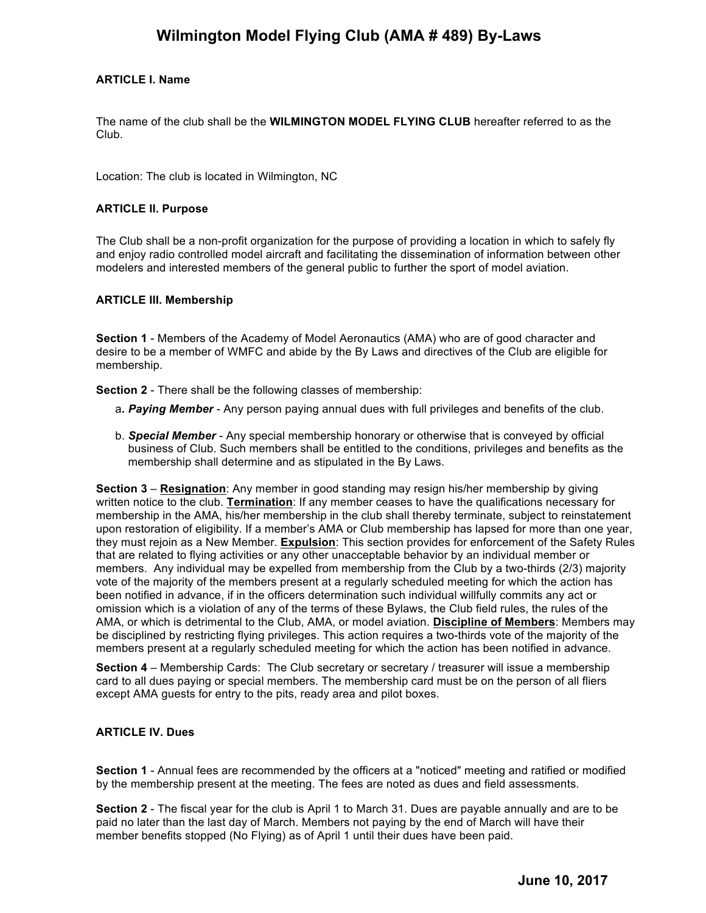# **Wilmington Model Flying Club (AMA # 489) By-Laws**

# **ARTICLE I. Name**

The name of the club shall be the **WILMINGTON MODEL FLYING CLUB** hereafter referred to as the Club.

Location: The club is located in Wilmington, NC

#### **ARTICLE II. Purpose**

The Club shall be a non-profit organization for the purpose of providing a location in which to safely fly and enjoy radio controlled model aircraft and facilitating the dissemination of information between other modelers and interested members of the general public to further the sport of model aviation.

#### **ARTICLE III. Membership**

**Section 1** - Members of the Academy of Model Aeronautics (AMA) who are of good character and desire to be a member of WMFC and abide by the By Laws and directives of the Club are eligible for membership.

**Section 2** - There shall be the following classes of membership:

- a*. Paying Member*  Any person paying annual dues with full privileges and benefits of the club.
- b. *Special Member* Any special membership honorary or otherwise that is conveyed by official business of Club. Such members shall be entitled to the conditions, privileges and benefits as the membership shall determine and as stipulated in the By Laws.

**Section 3** – **Resignation**: Any member in good standing may resign his/her membership by giving written notice to the club. **Termination**: If any member ceases to have the qualifications necessary for membership in the AMA, his/her membership in the club shall thereby terminate, subject to reinstatement upon restoration of eligibility. If a member's AMA or Club membership has lapsed for more than one year, they must rejoin as a New Member. **Expulsion**: This section provides for enforcement of the Safety Rules that are related to flying activities or any other unacceptable behavior by an individual member or members. Any individual may be expelled from membership from the Club by a two-thirds (2/3) majority vote of the majority of the members present at a regularly scheduled meeting for which the action has been notified in advance, if in the officers determination such individual willfully commits any act or omission which is a violation of any of the terms of these Bylaws, the Club field rules, the rules of the AMA, or which is detrimental to the Club, AMA, or model aviation. **Discipline of Members**: Members may be disciplined by restricting flying privileges. This action requires a two-thirds vote of the majority of the members present at a regularly scheduled meeting for which the action has been notified in advance.

**Section 4** – Membership Cards: The Club secretary or secretary / treasurer will issue a membership card to all dues paying or special members. The membership card must be on the person of all fliers except AMA guests for entry to the pits, ready area and pilot boxes.

#### **ARTICLE IV. Dues**

**Section 1** - Annual fees are recommended by the officers at a "noticed" meeting and ratified or modified by the membership present at the meeting. The fees are noted as dues and field assessments.

**Section 2** - The fiscal year for the club is April 1 to March 31. Dues are payable annually and are to be paid no later than the last day of March. Members not paying by the end of March will have their member benefits stopped (No Flying) as of April 1 until their dues have been paid.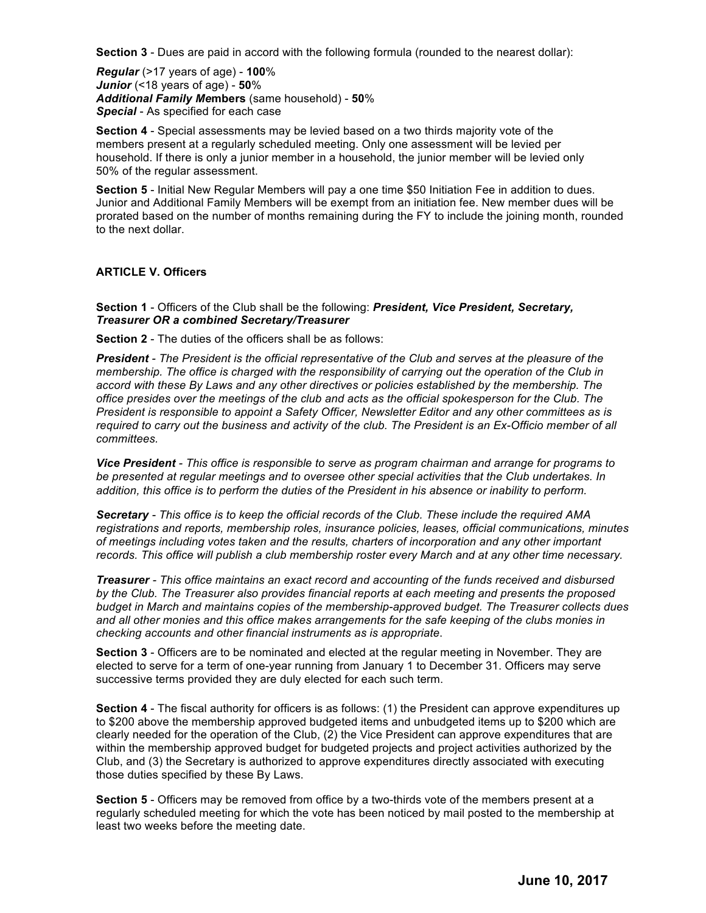**Section 3** - Dues are paid in accord with the following formula (rounded to the nearest dollar):

*Regular* (>17 years of age) - **100**% *Junior* (<18 years of age) - **50**% *Additional Family Me***mbers** (same household) - **50**% *Special* - As specified for each case

**Section 4** - Special assessments may be levied based on a two thirds majority vote of the members present at a regularly scheduled meeting. Only one assessment will be levied per household. If there is only a junior member in a household, the junior member will be levied only 50% of the regular assessment.

**Section 5** - Initial New Regular Members will pay a one time \$50 Initiation Fee in addition to dues. Junior and Additional Family Members will be exempt from an initiation fee. New member dues will be prorated based on the number of months remaining during the FY to include the joining month, rounded to the next dollar.

# **ARTICLE V. Officers**

**Section 1** - Officers of the Club shall be the following: *President, Vice President, Secretary, Treasurer OR a combined Secretary/Treasurer* 

**Section 2** - The duties of the officers shall be as follows:

*President - The President is the official representative of the Club and serves at the pleasure of the membership. The office is charged with the responsibility of carrying out the operation of the Club in accord with these By Laws and any other directives or policies established by the membership. The office presides over the meetings of the club and acts as the official spokesperson for the Club. The President is responsible to appoint a Safety Officer, Newsletter Editor and any other committees as is required to carry out the business and activity of the club. The President is an Ex-Officio member of all committees.* 

*Vice President - This office is responsible to serve as program chairman and arrange for programs to be presented at regular meetings and to oversee other special activities that the Club undertakes. In addition, this office is to perform the duties of the President in his absence or inability to perform.* 

*Secretary - This office is to keep the official records of the Club. These include the required AMA registrations and reports, membership roles, insurance policies, leases, official communications, minutes of meetings including votes taken and the results, charters of incorporation and any other important records. This office will publish a club membership roster every March and at any other time necessary.* 

*Treasurer - This office maintains an exact record and accounting of the funds received and disbursed by the Club. The Treasurer also provides financial reports at each meeting and presents the proposed budget in March and maintains copies of the membership-approved budget. The Treasurer collects dues and all other monies and this office makes arrangements for the safe keeping of the clubs monies in checking accounts and other financial instruments as is appropriate*.

**Section 3** - Officers are to be nominated and elected at the regular meeting in November. They are elected to serve for a term of one-year running from January 1 to December 31. Officers may serve successive terms provided they are duly elected for each such term.

**Section 4** - The fiscal authority for officers is as follows: (1) the President can approve expenditures up to \$200 above the membership approved budgeted items and unbudgeted items up to \$200 which are clearly needed for the operation of the Club, (2) the Vice President can approve expenditures that are within the membership approved budget for budgeted projects and project activities authorized by the Club, and (3) the Secretary is authorized to approve expenditures directly associated with executing those duties specified by these By Laws.

**Section 5** - Officers may be removed from office by a two-thirds vote of the members present at a regularly scheduled meeting for which the vote has been noticed by mail posted to the membership at least two weeks before the meeting date.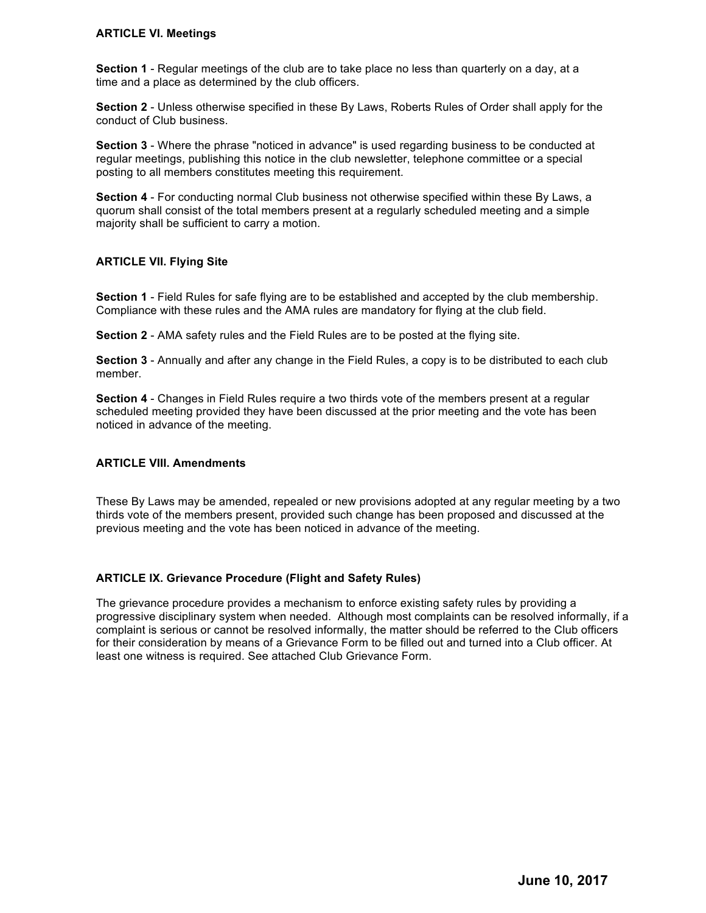#### **ARTICLE VI. Meetings**

**Section 1** - Regular meetings of the club are to take place no less than quarterly on a day, at a time and a place as determined by the club officers.

**Section 2** - Unless otherwise specified in these By Laws, Roberts Rules of Order shall apply for the conduct of Club business.

**Section 3** - Where the phrase "noticed in advance" is used regarding business to be conducted at regular meetings, publishing this notice in the club newsletter, telephone committee or a special posting to all members constitutes meeting this requirement.

**Section 4** - For conducting normal Club business not otherwise specified within these By Laws, a quorum shall consist of the total members present at a regularly scheduled meeting and a simple majority shall be sufficient to carry a motion.

# **ARTICLE VII. Flying Site**

**Section 1** - Field Rules for safe flying are to be established and accepted by the club membership. Compliance with these rules and the AMA rules are mandatory for flying at the club field.

**Section 2** - AMA safety rules and the Field Rules are to be posted at the flying site.

**Section 3** - Annually and after any change in the Field Rules, a copy is to be distributed to each club member.

**Section 4** - Changes in Field Rules require a two thirds vote of the members present at a regular scheduled meeting provided they have been discussed at the prior meeting and the vote has been noticed in advance of the meeting.

#### **ARTICLE VIII. Amendments**

These By Laws may be amended, repealed or new provisions adopted at any regular meeting by a two thirds vote of the members present, provided such change has been proposed and discussed at the previous meeting and the vote has been noticed in advance of the meeting.

# **ARTICLE IX. Grievance Procedure (Flight and Safety Rules)**

The grievance procedure provides a mechanism to enforce existing safety rules by providing a progressive disciplinary system when needed. Although most complaints can be resolved informally, if a complaint is serious or cannot be resolved informally, the matter should be referred to the Club officers for their consideration by means of a Grievance Form to be filled out and turned into a Club officer. At least one witness is required. See attached Club Grievance Form.